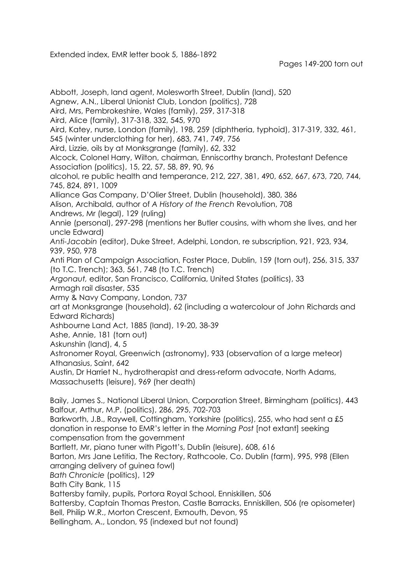Extended index, EMR letter book 5, 1886-1892

Pages 149-200 torn out

Abbott, Joseph, land agent, Molesworth Street, Dublin (land), 520 Agnew, A.N., Liberal Unionist Club, London (politics), 728 Aird, Mrs, Pembrokeshire, Wales (family), 259, 317-318 Aird, Alice (family), 317-318, 332, 545, 970 Aird, Katey, nurse, London (family), 198, 259 (diphtheria, typhoid), 317-319, 332, 461, 545 (winter underclothing for her), 683, 741, 749, 756 Aird, Lizzie, oils by at Monksgrange (family), 62, 332 Alcock, Colonel Harry, Wilton, chairman, Enniscorthy branch, Protestant Defence Association (politics), 15, 22, 57, 58, 89, 90, 96 alcohol, re public health and temperance, 212, 227, 381, 490, 652, 667, 673, 720, 744, 745, 824, 891, 1009 Alliance Gas Company, D'Olier Street, Dublin (household), 380, 386 Alison, Archibald, author of *A History of the French* Revolution, 708 Andrews, Mr (legal), 129 (ruling) Annie (personal), 297-298 (mentions her Butler cousins, with whom she lives, and her uncle Edward) *Anti-Jacobin* (editor), Duke Street, Adelphi, London, re subscription, 921, 923, 934, 939, 950, 978 Anti Plan of Campaign Association, Foster Place, Dublin, 159 (torn out), 256, 315, 337 (to T.C. Trench); 363, 561, 748 (to T.C. Trench) *Argonaut,* editor, San Francisco, California, United States (politics), 33 Armagh rail disaster, 535 Army & Navy Company, London, 737 art at Monksgrange (household), 62 (including a watercolour of John Richards and Edward Richards) Ashbourne Land Act, 1885 (land), 19-20, 38-39 Ashe, Annie, 181 (torn out) Askunshin (land), 4, 5 Astronomer Royal, Greenwich (astronomy), 933 (observation of a large meteor) Athanasius, Saint, 642 Austin, Dr Harriet N., hydrotherapist and dress-reform advocate, North Adams, Massachusetts (leisure), 969 (her death) Baily, James S., National Liberal Union, Corporation Street, Birmingham (politics), 443 Balfour, Arthur, M.P. (politics), 286, 295, 702-703 Barkworth, J.B., Raywell, Cottingham, Yorkshire (politics), 255, who had sent a £5 donation in response to EMR's letter in the *Morning Post* [not extant] seeking compensation from the government Bartlett, Mr, piano tuner with Pigott's, Dublin (leisure), 608, 616 Barton, Mrs Jane Letitia, The Rectory, Rathcoole, Co. Dublin (farm), 995, 998 (Ellen arranging delivery of guinea fowl) *Bath Chronicle* (politics), 129 Bath City Bank, 115 Battersby family, pupils, Portora Royal School, Enniskillen, 506 Battersby, Captain Thomas Preston, Castle Barracks, Enniskillen, 506 (re opisometer) Bell, Philip W.R., Morton Crescent, Exmouth, Devon, 95 Bellingham, A., London, 95 (indexed but not found)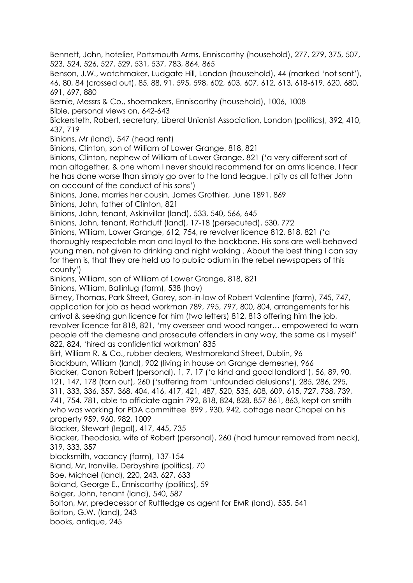Bennett, John, hotelier, Portsmouth Arms, Enniscorthy (household), 277, 279, 375, 507, 523, 524, 526, 527, 529, 531, 537, 783, 864, 865

Benson, J.W., watchmaker, Ludgate Hill, London (household), 44 (marked 'not sent'), 46, 80, 84 (crossed out), 85, 88, 91, 595, 598, 602, 603, 607, 612, 613, 618-619, 620, 680, 691, 697, 880

Bernie, Messrs & Co., shoemakers, Enniscorthy (household), 1006, 1008 Bible, personal views on, 642-643

Bickersteth, Robert, secretary, Liberal Unionist Association, London (politics), 392, 410, 437, 719

Binions, Mr (land), 547 (head rent)

Binions, Clinton, son of William of Lower Grange, 818, 821

Binions, Clinton, nephew of William of Lower Grange, 821 ('a very different sort of man altogether, & one whom I never should recommend for an arms licence. I fear he has done worse than simply go over to the land league. I pity as all father John on account of the conduct of his sons')

Binions, Jane, marries her cousin, James Grothier, June 1891, 869

Binions, John, father of Clinton, 821

Binions, John, tenant, Askinvillar (land), 533, 540, 566, 645

Binions, John, tenant, Rathduff (land), 17-18 (persecuted), 530, 772

Binions, William, Lower Grange, 612, 754, re revolver licence 812, 818, 821 ('a thoroughly respectable man and loyal to the backbone. His sons are well-behaved young men, not given to drinking and night walking . About the best thing I can say for them is, that they are held up to public odium in the rebel newspapers of this county')

Binions, William, son of William of Lower Grange, 818, 821

Binions, William, Ballinlug (farm), 538 (hay)

Birney, Thomas, Park Street, Gorey, son-in-law of Robert Valentine (farm), 745, 747, application for job as head workman 789, 795, 797, 800, 804, arrangements for his arrival & seeking gun licence for him (two letters) 812, 813 offering him the job, revolver licence for 818, 821, 'my overseer and wood ranger… empowered to warn people off the demesne and prosecute offenders in any way, the same as I myself' 822, 824, 'hired as confidential workman' 835

Birt, William R. & Co., rubber dealers, Westmoreland Street, Dublin, 96 Blackburn, William (land), 902 (living in house on Grange demesne), 966 Blacker, Canon Robert (personal), 1, 7, 17 ('a kind and good landlord'), 56, 89, 90, 121, 147, 178 (torn out), 260 ('suffering from 'unfounded delusions'), 285, 286, 295, 311, 333, 336, 357, 368, 404, 416, 417, 421, 487, 520, 535, 608, 609, 615, 727, 738, 739, 741, 754. 781, able to officiate again 792, 818, 824, 828, 857 861, 863, kept on smith who was working for PDA committee 899 , 930, 942, cottage near Chapel on his property 959, 960, 982, 1009 Blacker, Stewart (legal), 417, 445, 735 Blacker, Theodosia, wife of Robert (personal), 260 (had tumour removed from neck), 319, 333, 357 blacksmith, vacancy (farm), 137-154

Bland, Mr, Ironville, Derbyshire (politics), 70

Boe, Michael (land), 220, 243, 627, 633

Boland, George E., Enniscorthy (politics), 59

Bolger, John, tenant (land), 540, 587

Bolton, Mr, predecessor of Ruttledge as agent for EMR (land), 535, 541

Bolton, G.W. (land), 243

books, antique, 245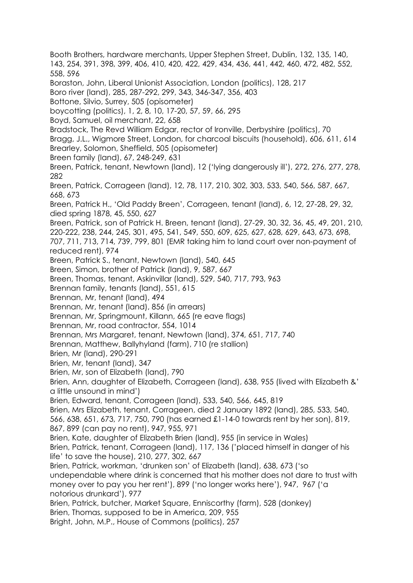Booth Brothers, hardware merchants, Upper Stephen Street, Dublin, 132, 135, 140, 143, 254, 391, 398, 399, 406, 410, 420, 422, 429, 434, 436, 441, 442, 460, 472, 482, 552, 558, 596 Boraston, John, Liberal Unionist Association, London (politics), 128, 217 Boro river (land), 285, 287-292, 299, 343, 346-347, 356, 403 Bottone, Silvio, Surrey, 505 (opisometer) boycotting (politics), 1, 2, 8, 10, 17-20, 57, 59, 66, 295 Boyd, Samuel, oil merchant, 22, 658 Bradstock, The Revd William Edgar, rector of Ironville, Derbyshire (politics), 70 Bragg, J.L., Wigmore Street, London, for charcoal biscuits (household), 606, 611, 614 Brearley, Solomon, Sheffield, 505 (opisometer) Breen family (land), 67, 248-249, 631 Breen, Patrick, tenant, Newtown (land), 12 ('lying dangerously ill'), 272, 276, 277, 278, 282 Breen, Patrick, Corrageen (land), 12, 78, 117, 210, 302, 303, 533, 540, 566, 587, 667, 668, 673 Breen, Patrick H., 'Old Paddy Breen', Corrageen, tenant (land), 6, 12, 27-28, 29, 32, died spring 1878, 45, 550, 627 Breen, Patrick, son of Patrick H. Breen, tenant (land), 27-29, 30, 32, 36, 45, 49, 201, 210, 220-222, 238, 244, 245, 301, 495, 541, 549, 550, 609, 625, 627, 628, 629, 643, 673, 698, 707, 711, 713, 714, 739, 799, 801 (EMR taking him to land court over non-payment of reduced rent), 974 Breen, Patrick S., tenant, Newtown (land), 540, 645 Breen, Simon, brother of Patrick (land), 9, 587, 667 Breen, Thomas, tenant, Askinvillar (land), 529, 540, 717, 793, 963 Brennan family, tenants (land), 551, 615 Brennan, Mr, tenant (land), 494 Brennan, Mr, tenant (land), 856 (in arrears) Brennan, Mr, Springmount, Killann, 665 (re eave flags) Brennan, Mr, road contractor, 554, 1014 Brennan, Mrs Margaret, tenant, Newtown (land), 374, 651, 717, 740 Brennan, Matthew, Ballyhyland (farm), 710 (re stallion) Brien, Mr (land), 290-291 Brien, Mr, tenant (land), 347 Brien, Mr, son of Elizabeth (land), 790 Brien, Ann, daughter of Elizabeth, Corrageen (land), 638, 955 (lived with Elizabeth &' a little unsound in mind') Brien, Edward, tenant, Corrageen (land), 533, 540, 566, 645, 819 Brien, Mrs Elizabeth, tenant, Corrageen, died 2 January 1892 (land), 285, 533, 540, 566, 638, 651, 673, 717, 750, 790 (has earned £1-14-0 towards rent by her son), 819, 867, 899 (can pay no rent), 947, 955, 971 Brien, Kate, daughter of Elizabeth Brien (land), 955 (in service in Wales) Brien, Patrick, tenant, Corrageen (land), 117, 136 ('placed himself in danger of his life' to save the house), 210, 277, 302, 667 Brien, Patrick, workman, 'drunken son' of Elizabeth (land), 638, 673 ('so undependable where drink is concerned that his mother does not dare to trust with money over to pay you her rent'), 899 ('no longer works here'), 947, 967 ('a notorious drunkard'), 977 Brien, Patrick, butcher, Market Square, Enniscorthy (farm), 528 (donkey) Brien, Thomas, supposed to be in America, 209, 955 Bright, John, M.P., House of Commons (politics), 257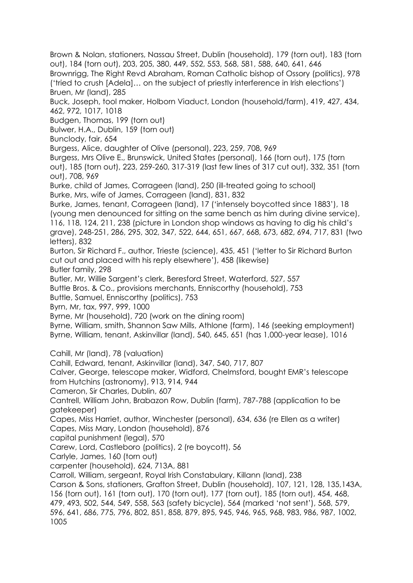Brown & Nolan, stationers, Nassau Street, Dublin (household), 179 (torn out), 183 (torn out), 184 (torn out), 203, 205, 380, 449, 552, 553, 568, 581, 588, 640, 641, 646 Brownrigg, The Right Revd Abraham, Roman Catholic bishop of Ossory (politics), 978 ('tried to crush [Adela]… on the subject of priestly interference in Irish elections') Bruen, Mr (land), 285 Buck, Joseph, tool maker, Holborn Viaduct, London (household/farm), 419, 427, 434, 462, 972, 1017, 1018 Budgen, Thomas, 199 (torn out) Bulwer, H.A., Dublin, 159 (torn out) Bunclody, fair, 654 Burgess, Alice, daughter of Olive (personal), 223, 259, 708, 969 Burgess, Mrs Olive E., Brunswick, United States (personal), 166 (torn out), 175 (torn out), 185 (torn out), 223, 259-260, 317-319 (last few lines of 317 cut out), 332, 351 (torn out), 708, 969 Burke, child of James, Corrageen (land), 250 (ill-treated going to school) Burke, Mrs, wife of James, Corrageen (land), 831, 832 Burke, James, tenant, Corrageen (land), 17 ('intensely boycotted since 1883'), 18 (young men denounced for sitting on the same bench as him during divine service), 116, 118, 124, 211, 238 (picture in London shop windows as having to dig his child's grave), 248-251, 286, 295, 302, 347, 522, 644, 651, 667, 668, 673, 682, 694, 717, 831 (two letters), 832 Burton, Sir Richard F., author, Trieste (science), 435, 451 ('letter to Sir Richard Burton cut out and placed with his reply elsewhere'), 458 (likewise) Butler family, 298 Butler, Mr, Willie Sargent's clerk, Beresford Street, Waterford, 527, 557 Buttle Bros. & Co., provisions merchants, Enniscorthy (household), 753 Buttle, Samuel, Enniscorthy (politics), 753 Byrn, Mr, tax, 997, 999, 1000 Byrne, Mr (household), 720 (work on the dining room) Byrne, William, smith, Shannon Saw Mills, Athlone (farm), 146 (seeking employment) Byrne, William, tenant, Askinvillar (land), 540, 645, 651 (has 1,000-year lease), 1016 Cahill, Mr (land), 78 (valuation) Cahill, Edward, tenant, Askinvillar (land), 347, 540, 717, 807 Calver, George, telescope maker, Widford, Chelmsford, bought EMR's telescope from Hutchins (astronomy), 913, 914, 944 Cameron, Sir Charles, Dublin, 607 Cantrell, William John, Brabazon Row, Dublin (farm), 787-788 (application to be gatekeeper) Capes, Miss Harriet, author, Winchester (personal), 634, 636 (re Ellen as a writer) Capes, Miss Mary, London (household), 876 capital punishment (legal), 570 Carew, Lord, Castleboro (politics), 2 (re boycott), 56 Carlyle, James, 160 (torn out) carpenter (household), 624, 713A, 881 Carroll, William, sergeant, Royal Irish Constabulary, Killann (land), 238 Carson & Sons, stationers, Grafton Street, Dublin (household), 107, 121, 128, 135,143A, 156 (torn out), 161 (torn out), 170 (torn out), 177 (torn out), 185 (torn out), 454, 468, 479, 493, 502, 544, 549, 558, 563 (safety bicycle), 564 (marked 'not sent'), 568, 579, 596, 641, 686, 775, 796, 802, 851, 858, 879, 895, 945, 946, 965, 968, 983, 986, 987, 1002, 1005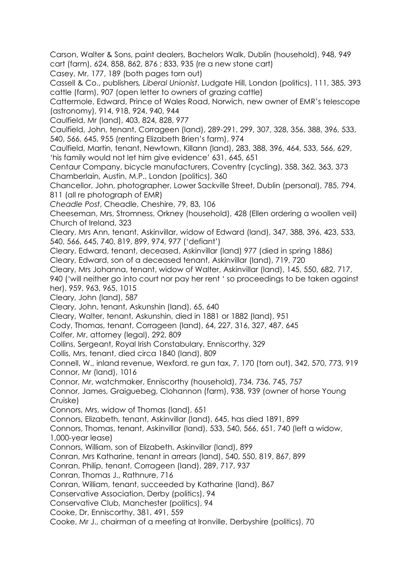Carson, Walter & Sons, paint dealers, Bachelors Walk, Dublin (household), 948, 949 cart (farm), 624, 858, 862, 876 ; 833, 935 (re a new stone cart)

Casey, Mr, 177, 189 (both pages torn out)

Cassell & Co., publishers*, Liberal Unionist*, Ludgate Hill, London (politics), 111, 385, 393 cattle (farm), 907 (open letter to owners of grazing cattle)

Cattermole, Edward, Prince of Wales Road, Norwich, new owner of EMR's telescope (astronomy), 914, 918, 924, 940, 944

Caulfield, Mr (land), 403, 824, 828, 977

Caulfield, John, tenant, Corrageen (land), 289-291, 299, 307, 328, 356, 388, 396, 533, 540, 566, 645, 955 (renting Elizabeth Brien's farm), 974

Caulfield, Martin, tenant, Newtown, Killann (land), 283, 388, 396, 464, 533, 566, 629, 'his family would not let him give evidence' 631, 645, 651

Centaur Company, bicycle manufacturers, Coventry (cycling), 358, 362, 363, 373 Chamberlain, Austin, M.P., London (politics), 360

Chancellor, John, photographer, Lower Sackville Street, Dublin (personal), 785, 794, 811 (all re photograph of EMR)

*Cheadle Post*, Cheadle, Cheshire, 79, 83, 106

Cheeseman, Mrs, Stromness, Orkney (household), 428 (Ellen ordering a woollen veil) Church of Ireland, 323

Cleary, Mrs Ann, tenant, Askinvillar, widow of Edward (land), 347, 388, 396, 423, 533, 540, 566, 645, 740, 819, 899, 974, 977 ('defiant')

Cleary, Edward, tenant, deceased, Askinvillar (land) 977 (died in spring 1886)

Cleary, Edward, son of a deceased tenant, Askinvillar (land), 719, 720

Cleary, Mrs Johanna, tenant, widow of Walter, Askinvillar (land), 145, 550, 682, 717,

940 ('will neither go into court nor pay her rent ' so proceedings to be taken against her), 959, 963, 965, 1015

Cleary, John (land), 587

Cleary, John, tenant, Askunshin (land), 65, 640

Cleary, Walter, tenant, Askunshin, died in 1881 or 1882 (land), 951

Cody, Thomas, tenant, Corrageen (land), 64, 227, 316, 327, 487, 645

Colfer, Mr, attorney (legal), 292, 809

Collins, Sergeant, Royal Irish Constabulary, Enniscorthy, 329

Collis, Mrs, tenant, died circa 1840 (land), 809

Connell, W., inland revenue, Wexford, re gun tax, 7, 170 (torn out), 342, 570, 773, 919 Connor, Mr (land), 1016

Connor, Mr, watchmaker, Enniscorthy (household), 734, 736, 745, 757

Connor, James, Graiguebeg, Clohannon (farm), 938, 939 (owner of horse Young Cruiske)

Connors, Mrs, widow of Thomas (land), 651

Connors, Elizabeth, tenant, Askinvillar (land), 645, has died 1891, 899

Connors, Thomas, tenant, Askinvillar (land), 533, 540, 566, 651, 740 (left a widow, 1,000-year lease)

Connors, William, son of Elizabeth, Askinvillar (land), 899

Conran, Mrs Katharine, tenant in arrears (land), 540, 550, 819, 867, 899

Conran, Philip, tenant, Corrageen (land), 289, 717, 937

Conran, Thomas J., Rathnure, 716

Conran, William, tenant, succeeded by Katharine (land), 867

Conservative Association, Derby (politics), 94

Conservative Club, Manchester (politics), 94

Cooke, Dr, Enniscorthy, 381, 491, 559

Cooke, Mr J., chairman of a meeting at Ironville, Derbyshire (politics), 70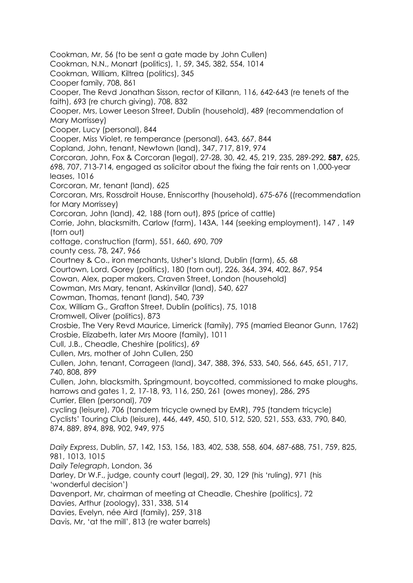Cookman, Mr, 56 (to be sent a gate made by John Cullen) Cookman, N.N., Monart (politics), 1, 59, 345, 382, 554, 1014 Cookman, William, Kiltrea (politics), 345 Cooper family, 708, 861 Cooper, The Revd Jonathan Sisson, rector of Killann, 116, 642-643 (re tenets of the faith), 693 (re church giving), 708, 832 Cooper, Mrs, Lower Leeson Street, Dublin (household), 489 (recommendation of Mary Morrissey) Cooper, Lucy (personal), 844 Cooper, Miss Violet, re temperance (personal), 643, 667, 844 Copland, John, tenant, Newtown (land), 347, 717, 819, 974 Corcoran, John, Fox & Corcoran (legal), 27-28, 30, 42, 45, 219, 235, 289-292, **587,** 625, 698, 707, 713-714, engaged as solicitor about the fixing the fair rents on 1,000-year leases, 1016 Corcoran, Mr, tenant (land), 625 Corcoran, Mrs, Rossdroit House, Enniscorthy (household), 675-676 ((recommendation for Mary Morrissey) Corcoran, John (land), 42, 188 (torn out), 895 (price of cattle) Corrie, John, blacksmith, Carlow (farm), 143A, 144 (seeking employment), 147 , 149 (torn out) cottage, construction (farm), 551, 660, 690, 709 county cess, 78, 247, 966 Courtney & Co., iron merchants, Usher's Island, Dublin (farm), 65, 68 Courtown, Lord, Gorey (politics), 180 (torn out), 226, 364, 394, 402, 867, 954 Cowan, Alex, paper makers, Craven Street, London (household) Cowman, Mrs Mary, tenant, Askinvillar (land), 540, 627 Cowman, Thomas, tenant (land), 540, 739 Cox, William G., Grafton Street, Dublin (politics), 75, 1018 Cromwell, Oliver (politics), 873 Crosbie, The Very Revd Maurice, Limerick (family), 795 (married Eleanor Gunn, 1762) Crosbie, Elizabeth, later Mrs Moore (family), 1011 Cull, J.B., Cheadle, Cheshire (politics), 69 Cullen, Mrs, mother of John Cullen, 250 Cullen, John, tenant, Corrageen (land), 347, 388, 396, 533, 540, 566, 645, 651, 717, 740, 808, 899 Cullen, John, blacksmith, Springmount, boycotted, commissioned to make ploughs, harrows and gates 1, 2, 17-18, 93, 116, 250, 261 (owes money), 286, 295 Currier, Ellen (personal), 709 cycling (leisure), 706 (tandem tricycle owned by EMR), 795 (tandem tricycle) Cyclists' Touring Club (leisure), 446, 449, 450, 510, 512, 520, 521, 553, 633, 790, 840, 874, 889, 894, 898, 902, 949, 975 *Daily Express*, Dublin, 57, 142, 153, 156, 183, 402, 538, 558, 604, 687-688, 751, 759, 825, 981, 1013, 1015 *Daily Telegraph*, London, 36 Darley, Dr W.F., judge, county court (legal), 29, 30, 129 (his 'ruling), 971 (his 'wonderful decision') Davenport, Mr, chairman of meeting at Cheadle, Cheshire (politics), 72 Davies, Arthur (zoology), 331, 338, 514 Davies, Evelyn, née Aird (family), 259, 318 Davis, Mr, 'at the mill', 813 (re water barrels)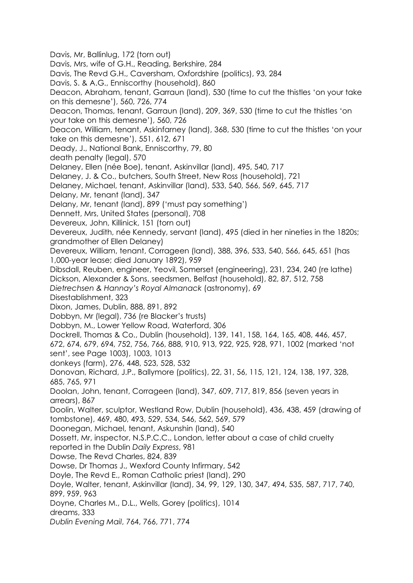Davis, Mr, Ballinlug, 172 (torn out) Davis, Mrs, wife of G.H., Reading, Berkshire, 284 Davis, The Revd G.H., Caversham, Oxfordshire (politics), 93, 284 Davis, S. & A.G., Enniscorthy (household), 860 Deacon, Abraham, tenant, Garraun (land), 530 (time to cut the thistles 'on your take on this demesne'), 560, 726, 774 Deacon, Thomas, tenant, Garraun (land), 209, 369, 530 (time to cut the thistles 'on your take on this demesne'), 560, 726 Deacon, William, tenant, Askinfarney (land), 368, 530 (time to cut the thistles 'on your take on this demesne'), 551, 612, 671 Deady, J., National Bank, Enniscorthy, 79, 80 death penalty (legal), 570 Delaney, Ellen (née Boe), tenant, Askinvillar (land), 495, 540, 717 Delaney, J. & Co., butchers, South Street, New Ross (household), 721 Delaney, Michael, tenant, Askinvillar (land), 533, 540, 566, 569, 645, 717 Delany, Mr, tenant (land), 347 Delany, Mr, tenant (land), 899 ('must pay something') Dennett, Mrs, United States (personal), 708 Devereux, John, Killinick, 151 (torn out) Devereux, Judith, née Kennedy, servant (land), 495 (died in her nineties in the 1820s; grandmother of Ellen Delaney) Devereux, William, tenant, Corrageen (land), 388, 396, 533, 540, 566, 645, 651 (has 1,000-year lease; died January 1892), 959 Dibsdall, Reuben, engineer, Yeovil, Somerset (engineering), 231, 234, 240 (re lathe) Dickson, Alexander & Sons, seedsmen, Belfast (household), 82, 87, 512, 758 *Dietrechsen & Hannay's Royal Almanack* (astronomy), 69 Disestablishment, 323 Dixon, James, Dublin, 888, 891, 892 Dobbyn, Mr (legal), 736 (re Blacker's trusts) Dobbyn, M., Lower Yellow Road, Waterford, 306 Dockrell, Thomas & Co., Dublin (household), 139, 141, 158, 164, 165, 408, 446, 457, 672, 674, 679, 694, 752, 756, 766, 888, 910, 913, 922, 925, 928, 971, 1002 (marked 'not sent', see Page 1003), 1003, 1013 donkeys (farm), 276, 448, 523, 528, 532 Donovan, Richard, J.P., Ballymore (politics), 22, 31, 56, 115, 121, 124, 138, 197, 328, 685, 765, 971 Doolan, John, tenant, Corrageen (land), 347, 609, 717, 819, 856 (seven years in arrears), 867 Doolin, Walter, sculptor, Westland Row, Dublin (household), 436, 438, 459 (drawing of tombstone), 469, 480, 493, 529, 534, 546, 562, 569, 579 Doonegan, Michael, tenant, Askunshin (land), 540 Dossett, Mr, inspector, N.S.P.C.C., London, letter about a case of child cruelty reported in the Dublin *Daily Express*, 981 Dowse, The Revd Charles, 824, 839 Dowse, Dr Thomas J., Wexford County Infirmary, 542 Doyle, The Revd E., Roman Catholic priest (land), 290 Doyle, Walter, tenant, Askinvillar (land), 34, 99, 129, 130, 347, 494, 535, 587, 717, 740, 899, 959, 963 Doyne, Charles M., D.L., Wells, Gorey (politics), 1014 dreams, 333 *Dublin Evening Mail*, 764, 766, 771, 774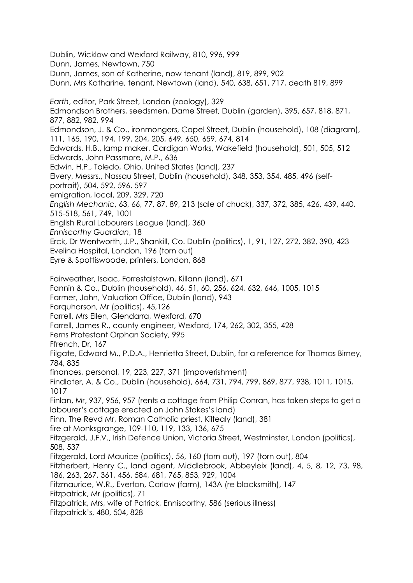Dublin, Wicklow and Wexford Railway, 810, 996, 999 Dunn, James, Newtown, 750 Dunn, James, son of Katherine, now tenant (land), 819, 899, 902 Dunn, Mrs Katharine, tenant, Newtown (land), 540, 638, 651, 717, death 819, 899 *Earth*, editor, Park Street, London (zoology), 329 Edmondson Brothers, seedsmen, Dame Street, Dublin (garden), 395, 657, 818, 871, 877, 882, 982, 994 Edmondson, J. & Co., ironmongers, Capel Street, Dublin (household), 108 (diagram), 111, 165, 190, 194, 199, 204, 205, 649, 650, 659, 674, 814 Edwards, H.B., lamp maker, Cardigan Works, Wakefield (household), 501, 505, 512 Edwards, John Passmore, M.P., 636 Edwin, H.P., Toledo, Ohio, United States (land), 237 Elvery, Messrs., Nassau Street, Dublin (household), 348, 353, 354, 485, 496 (selfportrait), 504, 592, 596, 597 emigration, local, 209, 329, 720 *English Mechanic*, 63, 66, 77, 87, 89, 213 (sale of chuck), 337, 372, 385, 426, 439, 440, 515-518, 561, 749, 1001 English Rural Labourers League (land), 360 *Enniscorthy Guardian*, 18 Erck, Dr Wentworth, J.P., Shankill, Co. Dublin (politics), 1, 91, 127, 272, 382, 390, 423 Evelina Hospital, London, 196 (torn out) Eyre & Spottiswoode, printers, London, 868 Fairweather, Isaac, Forrestalstown, Killann (land), 671 Fannin & Co., Dublin (household), 46, 51, 60, 256, 624, 632, 646, 1005, 1015 Farmer, John, Valuation Office, Dublin (land), 943 Farquharson, Mr (politics), 45,126 Farrell, Mrs Ellen, Glendarra, Wexford, 670 Farrell, James R., county engineer, Wexford, 174, 262, 302, 355, 428 Ferns Protestant Orphan Society, 995 Ffrench, Dr, 167 Filgate, Edward M., P.D.A., Henrietta Street, Dublin, for a reference for Thomas Birney, 784, 835 finances, personal, 19, 223, 227, 371 (impoverishment) Findlater, A. & Co., Dublin (household), 664, 731, 794, 799, 869, 877, 938, 1011, 1015, 1017 Finlan, Mr, 937, 956, 957 (rents a cottage from Philip Conran, has taken steps to get a labourer's cottage erected on John Stokes's land) Finn, The Revd Mr, Roman Catholic priest, Kiltealy (land), 381 fire at Monksgrange, 109-110, 119, 133, 136, 675 Fitzgerald, J.F.V., Irish Defence Union, Victoria Street, Westminster, London (politics), 508, 537 Fitzgerald, Lord Maurice (politics), 56, 160 (torn out), 197 (torn out), 804 Fitzherbert, Henry C., land agent, Middlebrook, Abbeyleix (land), 4, 5, 8, 12, 73, 98, 186, 263, 267, 361, 456, 584, 681, 765, 853, 929, 1004 Fitzmaurice, W.R., Everton, Carlow (farm), 143A (re blacksmith), 147 Fitzpatrick, Mr (politics), 71 Fitzpatrick, Mrs, wife of Patrick, Enniscorthy, 586 (serious illness) Fitzpatrick's, 480, 504, 828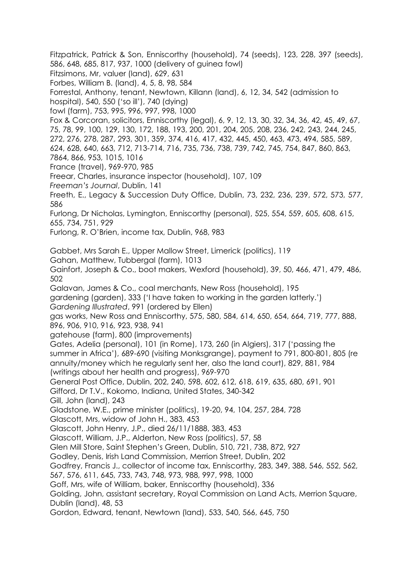Fitzpatrick, Patrick & Son, Enniscorthy (household), 74 (seeds), 123, 228, 397 (seeds), 586, 648, 685, 817, 937, 1000 (delivery of guinea fowl) Fitzsimons, Mr, valuer (land), 629, 631

Forbes, William B. (land), 4, 5, 8, 98, 584

Forrestal, Anthony, tenant, Newtown, Killann (land), 6, 12, 34, 542 (admission to

hospital), 540, 550 ('so ill'), 740 (dying)

fowl (farm), 753, 995, 996, 997, 998, 1000

Fox & Corcoran, solicitors, Enniscorthy (legal), 6, 9, 12, 13, 30, 32, 34, 36, 42, 45, 49, 67, 75, 78, 99, 100, 129, 130, 172, 188, 193, 200, 201, 204, 205, 208, 236, 242, 243, 244, 245, 272, 276, 278, 287, 293, 301, 359, 374, 416, 417, 432, 445, 450, 463, 473, 494, 585, 589, 624, 628, 640, 663, 712, 713-714, 716, 735, 736, 738, 739, 742, 745, 754, 847, 860, 863,

7864, 866, 953, 1015, 1016

France (travel), 969-970, 985

Freear, Charles, insurance inspector (household), 107, 109

*Freeman's Journal*, Dublin, 141

Freeth, E., Legacy & Succession Duty Office, Dublin, 73, 232, 236, 239, 572, 573, 577, 586

Furlong, Dr Nicholas, Lymington, Enniscorthy (personal), 525, 554, 559, 605, 608, 615, 655, 734, 751, 929

Furlong, R. O'Brien, income tax, Dublin, 968, 983

Gabbet, Mrs Sarah E., Upper Mallow Street, Limerick (politics), 119

Gahan, Matthew, Tubbergal (farm), 1013

Gainfort, Joseph & Co., boot makers, Wexford (household), 39, 50, 466, 471, 479, 486, 502

Galavan, James & Co., coal merchants, New Ross (household), 195

gardening (garden), 333 ('I have taken to working in the garden latterly.') *Gardening Illustrated*, 991 (ordered by Ellen)

gas works, New Ross and Enniscorthy, 575, 580, 584, 614, 650, 654, 664, 719, 777, 888, 896, 906, 910, 916, 923, 938, 941

gatehouse (farm), 800 (improvements)

Gates, Adelia (personal), 101 (in Rome), 173, 260 (in Algiers), 317 ('passing the summer in Africa'), 689-690 (visiting Monksgrange), payment to 791, 800-801, 805 (re annuity/money which he regularly sent her, also the land court), 829, 881, 984 (writings about her health and progress), 969-970

General Post Office, Dublin, 202, 240, 598, 602, 612, 618, 619, 635, 680, 691, 901

Gifford, Dr T.V., Kokomo, Indiana, United States, 340-342

Gill, John (land), 243

Gladstone, W.E., prime minister (politics), 19-20, 94, 104, 257, 284, 728

Glascott, Mrs, widow of John H., 383, 453

Glascott, John Henry, J.P., died 26/11/1888, 383, 453

Glascott, William, J.P., Alderton, New Ross (politics), 57, 58

Glen Mill Store, Saint Stephen's Green, Dublin, 510, 721, 738, 872, 927

Godley, Denis, Irish Land Commission, Merrion Street, Dublin, 202

Godfrey, Francis J., collector of income tax, Enniscorthy, 283, 349, 388, 546, 552, 562,

567, 576, 611, 645, 733, 743, 748, 973, 988, 997, 998, 1000

Goff, Mrs, wife of William, baker, Enniscorthy (household), 336

Golding, John, assistant secretary, Royal Commission on Land Acts, Merrion Square, Dublin (land), 48, 53

Gordon, Edward, tenant, Newtown (land), 533, 540, 566, 645, 750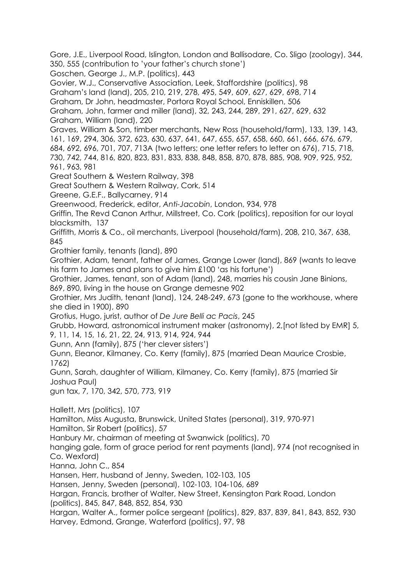Gore, J.E., Liverpool Road, Islington, London and Ballisodare, Co. Sligo (zoology), 344, 350, 555 (contribution to 'your father's church stone') Goschen, George J., M.P. (politics), 443 Govier, W.J., Conservative Association, Leek, Staffordshire (politics), 98 Graham's land (land), 205, 210, 219, 278, 495, 549, 609, 627, 629, 698, 714 Graham, Dr John, headmaster, Portora Royal School, Enniskillen, 506 Graham, John, farmer and miller (land), 32, 243, 244, 289, 291, 627, 629, 632 Graham, William (land), 220 Graves, William & Son, timber merchants, New Ross (household/farm), 133, 139, 143, 161, 169, 294, 306, 372, 623, 630, 637, 641, 647, 655, 657, 658, 660, 661, 666, 676, 679, 684, 692, 696, 701, 707, 713A (two letters; one letter refers to letter on 676), 715, 718, 730, 742, 744, 816, 820, 823, 831, 833, 838, 848, 858, 870, 878, 885, 908, 909, 925, 952, 961, 963, 981 Great Southern & Western Railway, 398 Great Southern & Western Railway, Cork, 514 Greene, G.E.F., Ballycarney, 914 Greenwood, Frederick, editor, *Anti-Jacobin*, London, 934, 978 Griffin, The Revd Canon Arthur, Millstreet, Co. Cork (politics), reposition for our loyal blacksmith, 137 Griffith, Morris & Co., oil merchants, Liverpool (household/farm), 208, 210, 367, 638, 845 Grothier family, tenants (land), 890 Grothier, Adam, tenant, father of James, Grange Lower (land), 869 (wants to leave his farm to James and plans to give him £100 'as his fortune') Grothier, James, tenant, son of Adam (land), 248, marries his cousin Jane Binions, 869, 890, living in the house on Grange demesne 902 Grothier, Mrs Judith, tenant (land), 124, 248-249, 673 (gone to the workhouse, where she died in 1900), 890 Grotius, Hugo, jurist, author of *[De Jure Belli ac](https://en.wikipedia.org/wiki/Hugo_Grotius#De_Jure_Belli_ac_Pacis) Pacis*, 245 Grubb, Howard, astronomical instrument maker (astronomy), 2,[not listed by EMR] 5, 9, 11, 14, 15, 16, 21, 22, 24, 913, 914, 924, 944 Gunn, Ann (family), 875 ('her clever sisters') Gunn, Eleanor, Kilmaney, Co. Kerry (family), 875 (married Dean Maurice Crosbie, 1762) Gunn, Sarah, daughter of William, Kilmaney, Co. Kerry (family), 875 (married Sir Joshua Paul) gun tax, 7, 170, 342, 570, 773, 919 Hallett, Mrs (politics), 107 Hamilton, Miss Augusta, Brunswick, United States (personal), 319, 970-971 Hamilton, Sir Robert (politics), 57 Hanbury Mr, chairman of meeting at Swanwick (politics), 70 hanging gale, form of grace period for rent payments (land), 974 (not recognised in Co. Wexford) Hanna, John C., 854 Hansen, Herr, husband of Jenny, Sweden, 102-103, 105 Hansen, Jenny, Sweden (personal), 102-103, 104-106, 689 Hargan, Francis, brother of Walter, New Street, Kensington Park Road, London (politics), 845, 847, 848, 852, 854, 930 Hargan, Walter A., former police sergeant (politics), 829, 837, 839, 841, 843, 852, 930 Harvey, Edmond, Grange, Waterford (politics), 97, 98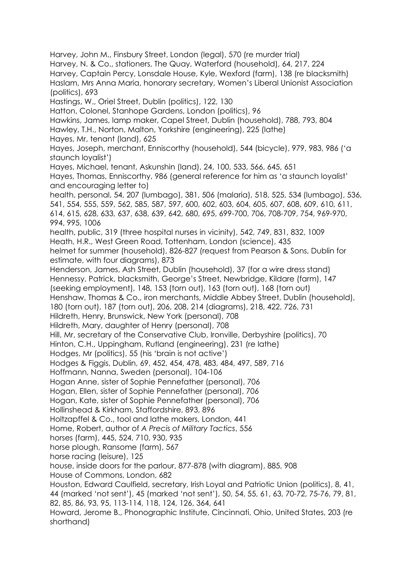Harvey, John M., Finsbury Street, London (legal), 570 (re murder trial) Harvey, N. & Co., stationers, The Quay, Waterford (household), 64, 217, 224 Harvey, Captain Percy, Lonsdale House, Kyle, Wexford (farm), 138 (re blacksmith) Haslam, Mrs Anna Maria, honorary secretary, Women's Liberal Unionist Association (politics), 693 Hastings, W., Oriel Street, Dublin (politics), 122, 130 Hatton, Colonel, Stanhope Gardens, London (politics), 96 Hawkins, James, lamp maker, Capel Street, Dublin (household), 788, 793, 804 Hawley, T.H., Norton, Malton, Yorkshire (engineering), 225 (lathe) Hayes, Mr, tenant (land), 625 Hayes, Joseph, merchant, Enniscorthy (household), 544 (bicycle), 979, 983, 986 ('a staunch loyalist') Hayes, Michael, tenant, Askunshin (land), 24, 100, 533, 566, 645, 651 Hayes, Thomas, Enniscorthy, 986 (general reference for him as 'a staunch loyalist' and encouraging letter to) health, personal, 54, 207 (lumbago), 381, 506 (malaria), 518, 525, 534 (lumbago), 536, 541, 554, 555, 559, 562, 585, 587, 597, 600, 602, 603, 604, 605, 607, 608, 609, 610, 611, 614, 615, 628, 633, 637, 638, 639, 642, 680, 695, 699-700, 706, 708-709, 754, 969-970, 994, 995, 1006 health, public, 319 (three hospital nurses in vicinity), 542, 749, 831, 832, 1009 Heath, H.R., West Green Road, Tottenham, London (science), 435 helmet for summer (household), 826-827 (request from Pearson & Sons, Dublin for estimate, with four diagrams), 873 Henderson, James, Ash Street, Dublin (household), 37 (for a wire dress stand) Hennessy, Patrick, blacksmith, George's Street, Newbridge, Kildare (farm), 147 (seeking employment), 148, 153 (torn out), 163 (torn out), 168 (torn out) Henshaw, Thomas & Co., iron merchants, Middle Abbey Street, Dublin (household), 180 (torn out), 187 (torn out), 206, 208, 214 (diagrams), 218, 422, 726, 731 Hildreth, Henry, Brunswick, New York (personal), 708 Hildreth, Mary, daughter of Henry (personal), 708 Hill, Mr, secretary of the Conservative Club, Ironville, Derbyshire (politics), 70 Hinton, C.H., Uppingham, Rutland (engineering), 231 (re lathe) Hodges, Mr (politics), 55 (his 'brain is not active') Hodges & Figgis, Dublin, 69, 452, 454, 478, 483, 484, 497, 589, 716 Hoffmann, Nanna, Sweden (personal), 104-106 Hogan Anne, sister of Sophie Pennefather (personal), 706 Hogan, Ellen, sister of Sophie Pennefather (personal), 706 Hogan, Kate, sister of Sophie Pennefather (personal), 706 Hollinshead & Kirkham, Staffordshire, 893, 896 Holtzapffel & Co., tool and lathe makers, London, 441 Home, Robert, author of *A Precis of Military Tactics*, 556 horses (farm), 445, 524, 710, 930, 935 horse plough, Ransome (farm), 567 horse racing (leisure), 125 house, inside doors for the parlour, 877-878 (with diagram), 885, 908 House of Commons, London, 682 Houston, Edward Caulfield, secretary, Irish Loyal and Patriotic Union (politics), 8, 41, 44 (marked 'not sent'), 45 (marked 'not sent'), 50, 54, 55, 61, 63, 70-72, 75-76, 79, 81, 82, 85, 86, 93, 95, 113-114, 118, 124, 126, 364, 641 Howard, Jerome B., Phonographic Institute, Cincinnati, Ohio, United States, 203 (re shorthand)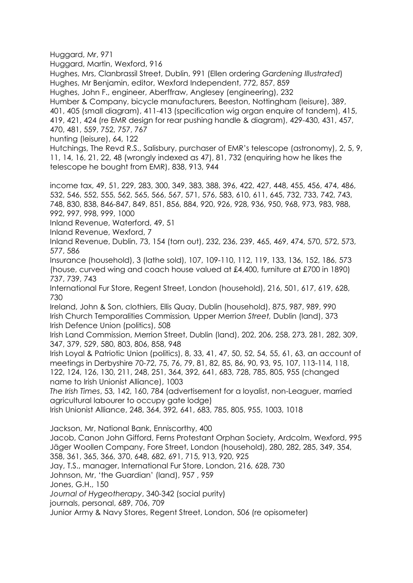Huggard, Mr, 971

Huggard, Martin, Wexford, 916

Hughes, Mrs, Clanbrassil Street, Dublin, 991 (Ellen ordering *Gardening Illustrated*) Hughes, Mr Benjamin, editor, Wexford Independent, 772, 857, 859

Hughes, John F., engineer, Aberffraw, Anglesey (engineering), 232

Humber & Company, bicycle manufacturers, Beeston, Nottingham (leisure), 389, 401, 405 (small diagram), 411-413 (specification wig organ enquire of tandem), 415, 419, 421, 424 (re EMR design for rear pushing handle & diagram), 429-430, 431, 457, 470, 481, 559, 752, 757, 767

hunting (leisure), 64, 122

Hutchings, The Revd R.S., Salisbury, purchaser of EMR's telescope (astronomy), 2, 5, 9, 11, 14, 16, 21, 22, 48 (wrongly indexed as 47), 81, 732 (enquiring how he likes the telescope he bought from EMR), 838, 913, 944

income tax, 49, 51, 229, 283, 300, 349, 383, 388, 396, 422, 427, 448, 455, 456, 474, 486, 532, 546, 552, 555, 562, 565, 566, 567, 571, 576, 583, 610, 611, 645, 732, 733, 742, 743, 748, 830, 838, 846-847, 849, 851, 856, 884, 920, 926, 928, 936, 950, 968, 973, 983, 988, 992, 997, 998, 999, 1000

Inland Revenue, Waterford, 49, 51

Inland Revenue, Wexford, 7

Inland Revenue, Dublin, 73, 154 (torn out), 232, 236, 239, 465, 469, 474, 570, 572, 573, 577, 586

Insurance (household), 3 (lathe sold), 107, 109-110, 112, 119, 133, 136, 152, 186, 573 (house, curved wing and coach house valued at £4,400, furniture at £700 in 1890) 737, 739, 743

International Fur Store, Regent Street, London (household), 216, 501, 617, 619, 628, 730

Ireland, John & Son, clothiers, Ellis Quay, Dublin (household), 875, 987, 989, 990 Irish Church Temporalities Commission*,* Upper Merrion *Street,* Dublin (land), 373 Irish Defence Union (politics), 508

Irish Land Commission, Merrion Street, Dublin (land), 202, 206, 258, 273, 281, 282, 309, 347, 379, 529, 580, 803, 806, 858, 948

Irish Loyal & Patriotic Union (politics), 8, 33, 41, 47, 50, 52, 54, 55, 61, 63, an account of meetings in Derbyshire 70-72, 75, 76, 79, 81, 82, 85, 86, 90, 93, 95, 107, 113-114, 118, 122, 124, 126, 130, 211, 248, 251, 364, 392, 641, 683, 728, 785, 805, 955 (changed name to Irish Unionist Alliance), 1003

*The Irish Times*, 53, 142, 160, 784 (advertisement for a loyalist, non-Leaguer, married agricultural labourer to occupy gate lodge)

Irish Unionist Alliance, 248, 364, 392, 641, 683, 785, 805, 955, 1003, 1018

Jackson, Mr, National Bank, Enniscorthy, 400 Jacob, Canon John Gifford, Ferns Protestant Orphan Society, Ardcolm, Wexford, 995 Jäger Woollen Company, Fore Street, London (household), 280, 282, 285, 349, 354, 358, 361, 365, 366, 370, 648, 682, 691, 715, 913, 920, 925 Jay, T.S., manager, International Fur Store, London, 216, 628, 730 Johnson, Mr, 'the Guardian' (land), 957 , 959 Jones, G.H., 150 *Journal of Hygeotherapy*, 340-342 (social purity) journals, personal, 689, 706, 709

Junior Army & Navy Stores, Regent Street, London, 506 (re opisometer)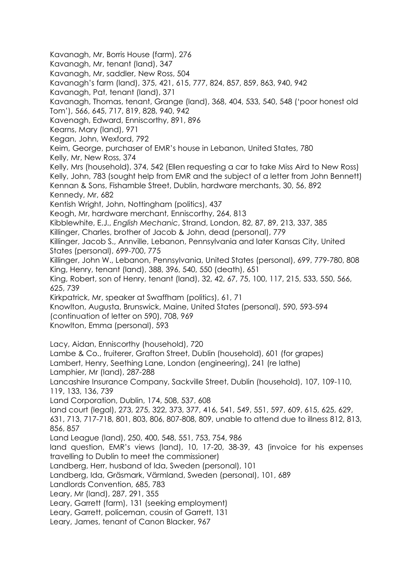Kavanagh, Mr, Borris House (farm), 276 Kavanagh, Mr, tenant (land), 347 Kavanagh, Mr, saddler, New Ross, 504 Kavanagh's farm (land), 375, 421, 615, 777, 824, 857, 859, 863, 940, 942 Kavanagh, Pat, tenant (land), 371 Kavanagh, Thomas, tenant, Grange (land), 368, 404, 533, 540, 548 ('poor honest old Tom'), 566, 645, 717, 819, 828, 940, 942 Kavenagh, Edward, Enniscorthy, 891, 896 Kearns, Mary (land), 971 Kegan, John, Wexford, 792 Keim, George, purchaser of EMR's house in Lebanon, United States, 780 Kelly, Mr, New Ross, 374 Kelly, Mrs (household), 374, 542 (Ellen requesting a car to take Miss Aird to New Ross) Kelly, John, 783 (sought help from EMR and the subject of a letter from John Bennett) Kennan & Sons, Fishamble Street, Dublin, hardware merchants, 30, 56, 892 Kennedy, Mr, 682 Kentish Wright, John, Nottingham (politics), 437 Keogh, Mr, hardware merchant, Enniscorthy, 264, 813 Kibblewhite, E.J., *English Mechanic*, Strand, London, 82, 87, 89, 213, 337, 385 Killinger, Charles, brother of Jacob & John, dead (personal), 779 Killinger, Jacob S., Annville, Lebanon, Pennsylvania and later Kansas City, United States (personal), 699-700, 775 Killinger, John W., Lebanon, Pennsylvania, United States (personal), 699, 779-780, 808 King, Henry, tenant (land), 388, 396, 540, 550 (death), 651 King, Robert, son of Henry, tenant (land), 32, 42, 67, 75, 100, 117, 215, 533, 550, 566, 625, 739 Kirkpatrick, Mr, speaker at Swaffham (politics), 61, 71 Knowlton, Augusta, Brunswick, Maine, United States (personal), 590, 593-594 (continuation of letter on 590), 708, 969 Knowlton, Emma (personal), 593 Lacy, Aidan, Enniscorthy (household), 720 Lambe & Co., fruiterer, Grafton Street, Dublin (household), 601 (for grapes) Lambert, Henry, Seething Lane, London (engineering), 241 (re lathe) Lamphier, Mr (land), 287-288 Lancashire Insurance Company, Sackville Street, Dublin (household), 107, 109-110, 119, 133, 136, 739 Land Corporation, Dublin, 174, 508, 537, 608 land court (legal), 273, 275, 322, 373, 377, 416, 541, 549, 551, 597, 609, 615, 625, 629, 631, 713, 717-718, 801, 803, 806, 807-808, 809, unable to attend due to illness 812, 813, 856, 857 Land League (land), 250, 400, 548, 551, 753, 754, 986 land question, EMR's views (land), 10, 17-20, 38-39, 43 (invoice for his expenses travelling to Dublin to meet the commissioner) Landberg, Herr, husband of Ida, Sweden (personal), 101 Landberg, Ida, Gräsmark, Värmland, Sweden (personal), 101, 689 Landlords Convention, 685, 783 Leary, Mr (land), 287, 291, 355 Leary, Garrett (farm), 131 (seeking employment) Leary, Garrett, policeman, cousin of Garrett, 131 Leary, James, tenant of Canon Blacker, 967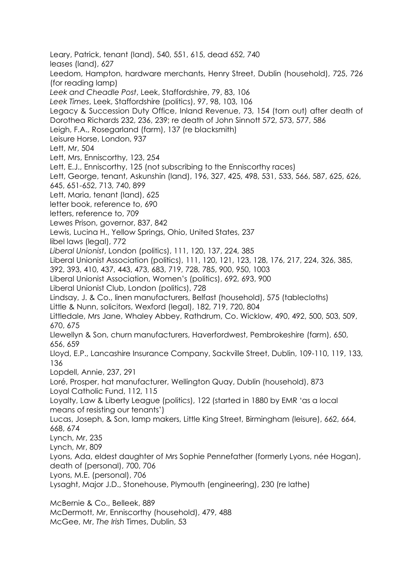Leary, Patrick, tenant (land), 540, 551, 615, dead 652, 740 leases (land), 627 Leedom, Hampton, hardware merchants, Henry Street, Dublin (household), 725, 726 (for reading lamp) *Leek and Cheadle Post*, Leek, Staffordshire, 79, 83, 106 *Leek Times*, Leek, Staffordshire (politics), 97, 98, 103, 106 Legacy & Succession Duty Office, Inland Revenue, 73, 154 (torn out) after death of Dorothea Richards 232, 236, 239; re death of John Sinnott 572, 573, 577, 586 Leigh, F.A., Rosegarland (farm), 137 (re blacksmith) Leisure Horse, London, 937 Lett, Mr, 504 Lett, Mrs, Enniscorthy, 123, 254 Lett, E.J., Enniscorthy, 125 (not subscribing to the Enniscorthy races) Lett, George, tenant, Askunshin (land), 196, 327, 425, 498, 531, 533, 566, 587, 625, 626, 645, 651-652, 713, 740, 899 Lett, Maria, tenant (land), 625 letter book, reference to, 690 letters, reference to, 709 Lewes Prison, governor, 837, 842 Lewis, Lucina H., Yellow Springs, Ohio, United States, 237 libel laws (legal), 772 *Liberal Unionist*, London (politics), 111, 120, 137, 224, 385 Liberal Unionist Association (politics), 111, 120, 121, 123, 128, 176, 217, 224, 326, 385, 392, 393, 410, 437, 443, 473, 683, 719, 728, 785, 900, 950, 1003 Liberal Unionist Association, Women's (politics), 692, 693, 900 Liberal Unionist Club, London (politics), 728 Lindsay, J. & Co., linen manufacturers, Belfast (household), 575 (tablecloths) Little & Nunn, solicitors, Wexford (legal), 182, 719, 720, 804 Littledale, Mrs Jane, Whaley Abbey, Rathdrum, Co. Wicklow, 490, 492, 500, 503, 509, 670, 675 Llewellyn & Son, churn manufacturers, Haverfordwest, Pembrokeshire (farm), 650, 656, 659 Lloyd, E.P., Lancashire Insurance Company, Sackville Street, Dublin, 109-110, 119, 133, 136 Lopdell, Annie, 237, 291 Loré, Prosper, hat manufacturer, Wellington Quay, Dublin (household), 873 Loyal Catholic Fund, 112, 115 Loyalty, Law & Liberty League (politics), 122 (started in 1880 by EMR 'as a local means of resisting our tenants') Lucas, Joseph, & Son, lamp makers, Little King Street, Birmingham (leisure), 662, 664, 668, 674 Lynch, Mr, 235 Lynch, Mr, 809 Lyons, Ada, eldest daughter of Mrs Sophie Pennefather (formerly Lyons, née Hogan), death of (personal), 700, 706 Lyons, M.E. (personal), 706 Lysaght, Major J.D., Stonehouse, Plymouth (engineering), 230 (re lathe) McBernie & Co., Belleek, 889 McDermott, Mr, Enniscorthy (household), 479, 488

McGee, Mr, *The Irish* Times, Dublin, 53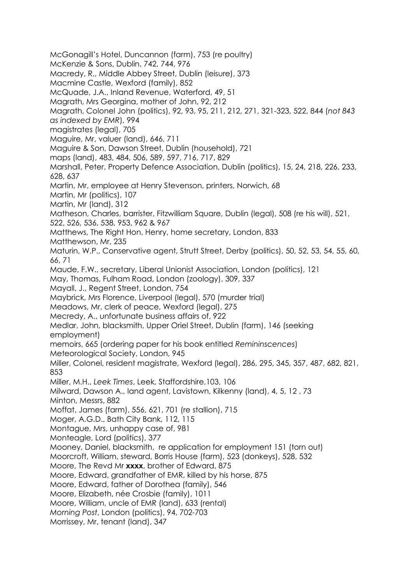McGonagill's Hotel, Duncannon (farm), 753 (re poultry) McKenzie & Sons, Dublin, 742, 744, 976 Macredy, R., Middle Abbey Street, Dublin (leisure), 373 Macmine Castle, Wexford (family), 852 McQuade, J.A., Inland Revenue, Waterford, 49, 51 Magrath, Mrs Georgina, mother of John, 92, 212 Magrath, Colonel John (politics), 92, 93, 95, 211, 212, 271, 321-323, 522, 844 (*not 843 as indexed by EMR*), 994 magistrates (legal), 705 Maguire, Mr, valuer (land), 646, 711 Maguire & Son, Dawson Street, Dublin (household), 721 maps (land), 483, 484, 506, 589, 597, 716, 717, 829 Marshall, Peter, Property Defence Association, Dublin (politics), 15, 24, 218, 226, 233, 628, 637 Martin, Mr, employee at Henry Stevenson, printers, Norwich, 68 Martin, Mr (politics), 107 Martin, Mr (land), 312 Matheson, Charles, barrister, Fitzwilliam Square, Dublin (legal), 508 (re his will), 521, 522, 526, 536, 538, 953, 962 & 967 Matthews, The Right Hon. Henry, home secretary, London, 833 Matthewson, Mr, 235 Maturin, W.P., Conservative agent, Strutt Street, Derby (politics), 50, 52, 53, 54, 55, 60, 66, 71 Maude, F.W., secretary, Liberal Unionist Association, London (politics), 121 May, Thomas, Fulham Road, London (zoology), 309, 337 Mayall, J., Regent Street, London, 754 Maybrick, Mrs Florence, Liverpool (legal), 570 (murder trial) Meadows, Mr, clerk of peace, Wexford (legal), 275 Mecredy, A., unfortunate business affairs of, 922 Medlar, John, blacksmith, Upper Oriel Street, Dublin (farm), 146 (seeking employment) memoirs, 665 (ordering paper for his book entitled *Remininscences*) Meteorological Society, London, 945 Miller, Colonel, resident magistrate, Wexford (legal), 286, 295, 345, 357, 487, 682, 821, 853 Miller, M.H., *Leek Times*, Leek, Staffordshire,103, 106 Milward, Dawson A., land agent, Lavistown, Kilkenny (land), 4, 5, 12 , 73 Minton, Messrs, 882 Moffat, James (farm), 556, 621, 701 (re stallion), 715 Moger, A.G.D., Bath City Bank, 112, 115 Montague, Mrs, unhappy case of, 981 Monteagle, Lord (politics), 377 Mooney, Daniel, blacksmith, re application for employment 151 (torn out) Moorcroft, William, steward, Borris House (farm), 523 (donkeys), 528, 532 Moore, The Revd Mr **xxxx**, brother of Edward, 875 Moore, Edward, grandfather of EMR, killed by his horse, 875 Moore, Edward, father of Dorothea (family), 546 Moore, Elizabeth, née Crosbie (family), 1011 Moore, William, uncle of EMR (land), 633 (rental) *Morning Post*, London (politics), 94, 702-703 Morrissey, Mr, tenant (land), 347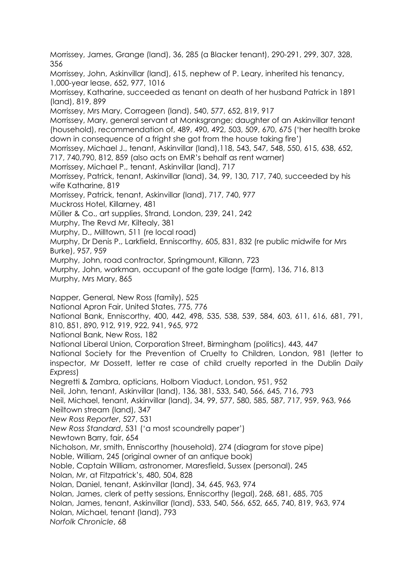Morrissey, James, Grange (land), 36, 285 (a Blacker tenant), 290-291, 299, 307, 328, 356 Morrissey, John, Askinvillar (land), 615, nephew of P. Leary, inherited his tenancy, 1,000-year lease, 652, 977, 1016 Morrissey, Katharine, succeeded as tenant on death of her husband Patrick in 1891 (land), 819, 899 Morrissey, Mrs Mary, Corrageen (land), 540, 577, 652, 819, 917 Morrissey, Mary, general servant at Monksgrange; daughter of an Askinvillar tenant (household), recommendation of, 489, 490, 492, 503, 509, 670, 675 ('her health broke down in consequence of a fright she got from the house taking fire') Morrissey, Michael J., tenant, Askinvillar (land),118, 543, 547, 548, 550, 615, 638, 652, 717, 740,790, 812, 859 (also acts on EMR's behalf as rent warner) Morrissey, Michael P., tenant, Askinvillar (land), 717 Morrissey, Patrick, tenant, Askinvillar (land), 34, 99, 130, 717, 740, succeeded by his wife Katharine, 819 Morrissey, Patrick, tenant, Askinvillar (land), 717, 740, 977 Muckross Hotel, Killarney, 481 Müller & Co., art supplies, Strand, London, 239, 241, 242 Murphy, The Revd Mr, Kiltealy, 381 Murphy, D., Milltown, 511 (re local road) Murphy, Dr Denis P., Larkfield, Enniscorthy, 605, 831, 832 (re public midwife for Mrs Burke), 957, 959 Murphy, John, road contractor, Springmount, Killann, 723 Murphy, John, workman, occupant of the gate lodge (farm), 136, 716, 813 Murphy, Mrs Mary, 865 Napper, General, New Ross (family), 525 National Apron Fair, United States, 775, 776 National Bank, Enniscorthy, 400, 442, 498, 535, 538, 539, 584, 603, 611, 616, 681, 791, 810, 851, 890, 912, 919, 922, 941, 965, 972 National Bank, New Ross, 182 National Liberal Union, Corporation Street, Birmingham (politics), 443, 447 National Society for the Prevention of Cruelty to Children, London, 981 (letter to inspector, Mr Dossett, letter re case of child cruelty reported in the Dublin *Daily Express*) Negretti & Zambra, opticians, Holborn Viaduct, London, 951, 952 Neil, John, tenant, Askinvillar (land), 136, 381, 533, 540, 566, 645, 716, 793 Neil, Michael, tenant, Askinvillar (land), 34, 99, 577, 580, 585, 587, 717, 959, 963, 966 Neiltown stream (land), 347 *New Ross Reporter*, 527, 531 *New Ross Standard*, 531 ('a most scoundrelly paper') Newtown Barry, fair, 654 Nicholson, Mr, smith, Enniscorthy (household), 274 (diagram for stove pipe) Noble, William, 245 (original owner of an antique book) Noble, Captain William, astronomer, Maresfield, Sussex (personal), 245 Nolan, Mr, at Fitzpatrick's, 480, 504, 828 Nolan, Daniel, tenant, Askinvillar (land), 34, 645, 963, 974 Nolan, James, clerk of petty sessions, Enniscorthy (legal), 268, 681, 685, 705 Nolan, James, tenant, Askinvillar (land), 533, 540, 566, 652, 665, 740, 819, 963, 974 Nolan, Michael, tenant (land), 793 *Norfolk Chronicle*, 68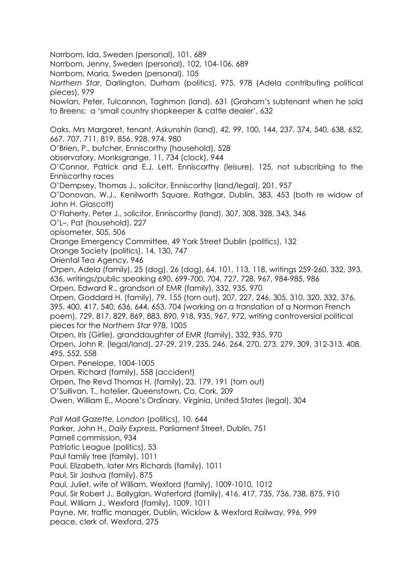Norrbom, Ida, Sweden (personal), 101, 689 Norrbom, Jenny, Sweden (personal), 102, 104-106, 689 Norrbom, Maria, Sweden (personal), 105 *Northern Star*, Darlington, Durham (politics), 975, 978 (Adela contributing political pieces), 979 Nowlan, Peter, Tulcannon, Taghmon (land), 631 (Graham's subtenant when he sold to Breens; a 'small country shopkeeper & cattle dealer', 632 Oaks, Mrs Margaret, tenant, Askunshin (land), 42, 99, 100, 144, 237, 374, 540, 638, 652, 667, 707, 711, 819, 856, 928, 974, 980 O'Brien, P., butcher, Enniscorthy (household), 528 observatory, Monksgrange, 11, 734 (clock), 944 O'Connor, Patrick and E.J. Lett, Enniscorthy (leisure), 125, not subscribing to the Enniscorthy races O'Dempsey, Thomas J., solicitor, Enniscorthy (land/legal), 201, 957 O'Donovan, W.J., Kenilworth Square, Rathgar, Dublin, 383, 453 (both re widow of John H. Glascott) O'Flaherty, Peter J., solicitor, Enniscorthy (land), 307, 308, 328, 343, 346 O'L–, Pat (household), 227 opisometer, 505, 506 Orange Emergency Committee, 49 York Street Dublin (politics), 132 Orange Society (politics), 14, 130, 747 Oriental Tea Agency, 946 Orpen, Adela (family), 25 (dog), 26 (dog), 64, 101, 113, 118, writings 259-260, 332, 393, 636, writings/public speaking 690, 699-700, 704, 727, 728, 967, 984-985, 986 Orpen, Edward R., grandson of EMR (family), 332, 935, 970 Orpen, Goddard H. (family), 79, 155 (torn out), 207, 227, 246, 305, 310, 320, 332, 376, 395, 400, 417, 540, 636, 644, 653, 704 (working on a translation of a Norman French poem), 729, 817, 829, 869, 883, 890, 918, 935, 967, 972, writing controversial political pieces for the *Northern Star* 978, 1005 Orpen, Iris (Girlie), granddaughter of EMR (family), 332, 935, 970 Orpen, John R. (legal/land), 27-29, 219, 235, 246, 264, 270, 273, 279, 309, 312-313, 408, 495, 552, 558 Orpen, Penelope, 1004-1005 Orpen, Richard (family), 558 (accident) Orpen, The Revd Thomas H. (family), 23, 179, 191 (torn out) O'Sullivan, T., hotelier, Queenstown, Co. Cork, 209 Owen, William E., Moore's Ordinary, Virginia, United States (legal), 304 *Pall Mall Gazette, London* (politics), 10, 644 Parker, John H., *Daily Express*, Parliament Street, Dublin, 751 Parnell commission, 934 Patriotic League (politics), 53 Paul family tree (family), 1011 Paul, Elizabeth, later Mrs Richards (family), 1011 Paul, Sir Joshua (family), 875 Paul, Juliet, wife of William, Wexford (family), 1009-1010, 1012 Paul, Sir Robert J., Ballyglan, Waterford (family), 416, 417, 735, 736, 738, 875, 910 Paul, William J., Wexford (family), 1009, 1011 Payne, Mr, traffic manager, Dublin, Wicklow & Wexford Railway, 996, 999 peace, clerk of, Wexford, 275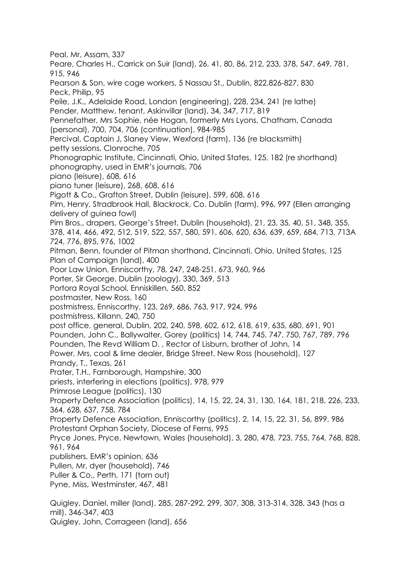Peal, Mr, Assam, 337 Peare, Charles H., Carrick on Suir (land), 26, 41, 80, 86, 212, 233, 378, 547, 649, 781, 915, 946 Pearson & Son, wire cage workers, 5 Nassau St., Dublin, 822,826-827, 830 Peck, Philip, 95 Peile, J.K., Adelaide Road, London (engineering), 228, 234, 241 (re lathe) Pender, Matthew, tenant, Askinvillar (land), 34, 347, 717, 819 Pennefather, Mrs Sophie, née Hogan, formerly Mrs Lyons, Chatham, Canada (personal), 700, 704, 706 (continuation), 984-985 Percival, Captain J, Slaney View, Wexford (farm), 136 (re blacksmith) petty sessions, Clonroche, 705 Phonographic Institute, Cincinnati, Ohio, United States, 125, 182 (re shorthand) phonography, used in EMR's journals, 706 piano (leisure), 608, 616 piano tuner (leisure), 268, 608, 616 Pigott & Co., Grafton Street, Dublin (leisure), 599, 608, 616 Pim, Henry, Stradbrook Hall, Blackrock, Co. Dublin (farm), 996, 997 (Ellen arranging delivery of guinea fowl) Pim Bros., drapers, George's Street, Dublin (household), 21, 23, 35, 40, 51, 348, 355, 378, 414, 466, 492, 512, 519, 522, 557, 580, 591, 606, 620, 636, 639, 659, 684, 713, 713A 724, 776, 895, 976, 1002 Pitman, Benn, founder of Pitman shorthand, Cincinnati, Ohio, United States, 125 Plan of Campaign (land), 400 Poor Law Union, Enniscorthy, 78, 247, 248-251, 673, 960, 966 Porter, Sir George, Dublin (zoology), 330, 369, 513 Portora Royal School, Enniskillen, 560, 852 postmaster, New Ross, 160 postmistress, Enniscorthy, 123, 269, 686, 763, 917, 924, 996 postmistress, Killann, 240, 750 post office, general, Dublin, 202, 240, 598, 602, 612, 618, 619, 635, 680, 691, 901 Pounden, John C., Ballywalter, Gorey (politics) 14, 744, 745, 747, 750, 767, 789, 796 Pounden, The Revd William D. , Rector of Lisburn, brother of John, 14 Power, Mrs, coal & lime dealer, Bridge Street, New Ross (household), 127 Prandy, T., Texas, 261 Prater, T.H., Farnborough, Hampshire, 300 priests, interfering in elections (politics), 978, 979 Primrose League (politics), 130 Property Defence Association (politics), 14, 15, 22, 24, 31, 130, 164, 181, 218, 226, 233, 364, 628, 637, 758, 784 Property Defence Association, Enniscorthy (politics), 2, 14, 15, 22, 31, 56, 899, 986 Protestant Orphan Society, Diocese of Ferns, 995 Pryce Jones, Pryce, Newtown, Wales (household), 3, 280, 478, 723, 755, 764, 768, 828, 961, 964 publishers, EMR's opinion, 636 Pullen, Mr, dyer (household), 746 Puller & Co., Perth, 171 (torn out) Pyne, Miss, Westminster, 467, 481 Quigley, Daniel, miller (land), 285, 287-292, 299, 307, 308, 313-314, 328, 343 (has a mill), 346-347, 403 Quigley, John, Corrageen (land), 656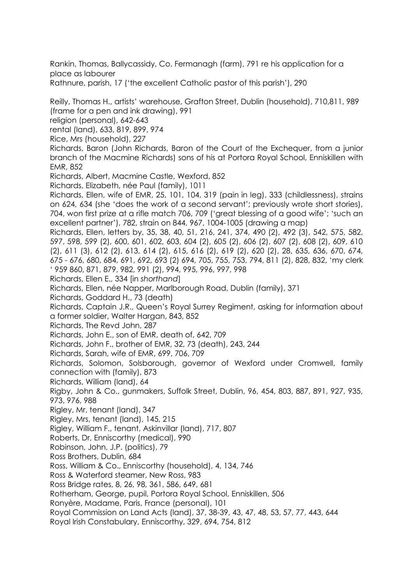Rankin, Thomas, Ballycassidy, Co. Fermanagh (farm), 791 re his application for a place as labourer Rathnure, parish, 17 ('the excellent Catholic pastor of this parish'), 290

Reilly, Thomas H., artists' warehouse, Grafton Street, Dublin (household), 710,811, 989 (frame for a pen and ink drawing), 991 religion (personal), 642-643 rental (land), 633, 819, 899, 974 Rice, Mrs (household), 227 Richards, Baron (John Richards, Baron of the Court of the Exchequer, from a junior branch of the Macmine Richards) sons of his at Portora Royal School, Enniskillen with EMR, 852 Richards, Albert, Macmine Castle, Wexford, 852 Richards, Elizabeth, née Paul (family), 1011 Richards, Ellen, wife of EMR, 25, 101, 104, 319 (pain in leg), 333 (childlessness), strains on 624, 634 (she 'does the work of a second servant'; previously wrote short stories), 704, won first prize at a rifle match 706, 709 ('great blessing of a good wife'; 'such an excellent partner'), 782, strain on 844, 967, 1004-1005 (drawing a map) Richards, Ellen, letters by, 35, 38, 40, 51, 216, 241, 374, 490 (2), 492 (3), 542, 575, 582, 597, 598, 599 (2), 600, 601, 602, 603, 604 (2), 605 (2), 606 (2), 607 (2), 608 (2), 609, 610 (2), 611 (3), 612 (2), 613, 614 (2), 615, 616 (2), 619 (2), 620 (2), 28, 635, 636, 670, 674, 675 - 676, 680, 684, 691, 692, 693 (2) 694, 705, 755, 753, 794, 811 (2), 828, 832, 'my clerk ' 959 860, 871, 879, 982, 991 (2), 994, 995, 996, 997, 998 Richards, Ellen E., 334 [in *shorthand*] Richards, Ellen, née Napper, Marlborough Road, Dublin (family), 371 Richards, Goddard H., 73 (death) Richards, Captain J.R., Queen's Royal Surrey Regiment, asking for information about a former soldier, Walter Hargan, 843, 852 Richards, The Revd John, 287 Richards, John E., son of EMR, death of, 642, 709 Richards, John F., brother of EMR, 32, 73 (death), 243, 244 Richards, Sarah, wife of EMR, 699, 706, 709 Richards, Solomon, Solsborough, governor of Wexford under Cromwell, family connection with (family), 873 Richards, William (land), 64 Rigby, John & Co., gunmakers, Suffolk Street, Dublin, 96, 454, 803, 887, 891, 927, 935, 973, 976, 988 Rigley, Mr, tenant (land), 347 Rigley, Mrs, tenant (land), 145, 215 Rigley, William F., tenant, Askinvillar (land), 717, 807 Roberts, Dr, Enniscorthy (medical), 990 Robinson, John, J.P. (politics), 79 Ross Brothers, Dublin, 684 Ross, William & Co., Enniscorthy (household), 4, 134, 746 Ross & Waterford steamer, New Ross, 983 Ross Bridge rates, 8, 26, 98, 361, 586, 649, 681 Rotherham, George, pupil, Portora Royal School, Enniskillen, 506 Ronyère, Madame, Paris, France (personal), 101 Royal Commission on Land Acts (land), 37, 38-39, 43, 47, 48, 53, 57, 77, 443, 644 Royal Irish Constabulary, Enniscorthy, 329, 694, 754, 812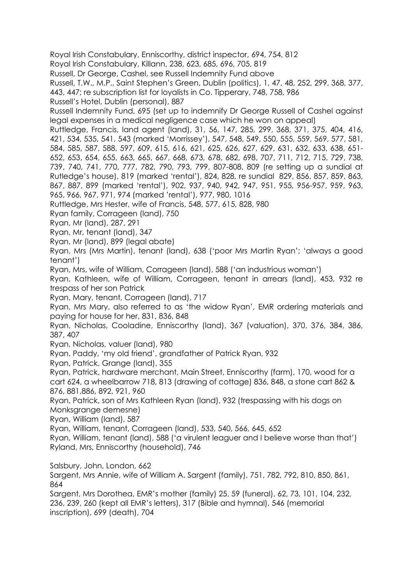Royal Irish Constabulary, Enniscorthy, district inspector, 694, 754, 812

Royal Irish Constabulary, Killann, 238, 623, 685, 696, 705, 819

Russell, Dr George, Cashel, see Russell Indemnity Fund above

Russell, T.W., M.P., Saint Stephen's Green, Dublin (politics), 1, 47, 48, 252, 299, 368, 377,

443, 447; re subscription list for loyalists in Co. Tipperary, 748, 758, 986

Russell's Hotel, Dublin (personal), 887

Russell Indemnity Fund, 695 (set up to indemnify Dr George Russell of Cashel against legal expenses in a medical negligence case which he won on appeal)

Ruttledge, Francis, land agent (land), 31, 56, 147, 285, 299, 368, 371, 375, 404, 416, 421, 534, 535, 541, 543 (marked 'Morrissey'), 547, 548, 549, 550, 555, 559, 569, 577, 581, 584, 585, 587, 588, 597, 609, 615, 616, 621, 625, 626, 627, 629, 631, 632, 633, 638, 651- 652, 653, 654, 655, 663, 665, 667, 668, 673, 678, 682, 698, 707, 711, 712, 715, 729, 738, 739, 740, 741, 770, 777, 782, 790, 793, 799, 807-808, 809 (re setting up a sundial at Rutledge's house), 819 (marked 'rental'), 824, 828, re sundial 829, 856, 857, 859, 863, 867, 887, 899 (marked 'rental'), 902, 937, 940, 942, 947, 951, 955, 956-957, 959, 963, 965, 966, 967, 971, 974 (marked 'rental'), 977, 980, 1016

Ruttledge, Mrs Hester, wife of Francis, 548, 577, 615, 828, 980

Ryan family, Corrageen (land), 750

Ryan, Mr (land), 287, 291

Ryan, Mr, tenant (land), 347

Ryan, Mr (land), 899 (legal abate)

Ryan, Mrs (Mrs Martin), tenant (land), 638 ('poor Mrs Martin Ryan'; 'always a good tenant')

Ryan, Mrs, wife of William, Corrageen (land), 588 ('an industrious woman')

Ryan, Kathleen, wife of William, Corrageen, tenant in arrears (land), 453, 932 re trespass of her son Patrick

Ryan, Mary, tenant, Corrageen (land), 717

Ryan, Mrs Mary, also referred to as 'the widow Ryan', EMR ordering materials and paying for house for her, 831, 836, 848

Ryan, Nicholas, Cooladine, Enniscorthy (land), 367 (valuation), 370, 376, 384, 386, 387, 407

Ryan, Nicholas, valuer (land), 980

Ryan, Paddy, 'my old friend', grandfather of Patrick Ryan, 932

Ryan, Patrick, Grange (land), 355

Ryan, Patrick, hardware merchant, Main Street, Enniscorthy (farm), 170, wood for a cart 624, a wheelbarrow 718, 813 (drawing of cottage) 836, 848, a stone cart 862 & 876, 881,886, 892, 921, 960

Ryan, Patrick, son of Mrs Kathleen Ryan (land), 932 (trespassing with his dogs on Monksgrange demesne)

Ryan, William (land), 587

Ryan, William, tenant, Corrageen (land), 533, 540, 566, 645, 652

Ryan, William, tenant (land), 588 ('a virulent leaguer and I believe worse than that') Ryland, Mrs, Enniscorthy (household), 746

Salsbury, John, London, 662

Sargent, Mrs Annie, wife of William A. Sargent (family), 751, 782, 792, 810, 850, 861, 864

Sargent, Mrs Dorothea, EMR's mother (family) 25, 59 (funeral), 62, 73, 101, 104, 232, 236, 239, 260 (kept all EMR's letters), 317 (Bible and hymnal), 546 (memorial inscription), 699 (death), 704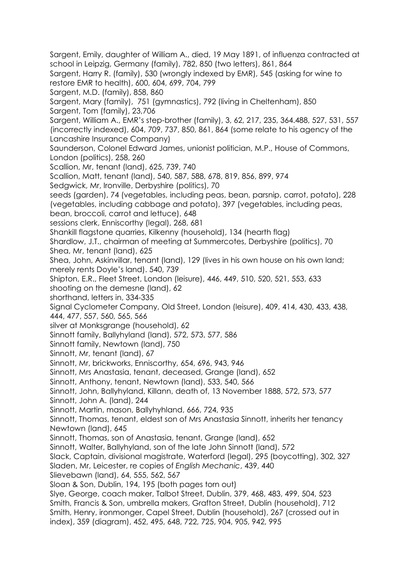Sargent, Emily, daughter of William A., died, 19 May 1891, of influenza contracted at school in Leipzig, Germany (family), 782, 850 (two letters), 861, 864 Sargent, Harry R. (family), 530 (wrongly indexed by EMR), 545 (asking for wine to restore EMR to health), 600, 604, 699, 704, 799 Sargent, M.D. (family), 858, 860 Sargent, Mary (family), 751 (gymnastics), 792 (living in Cheltenham), 850 Sargent, Tom (family), 23,706 Sargent, William A., EMR's step-brother (family), 3, 62, 217, 235, 364.488, 527, 531, 557 (incorrectly indexed), 604, 709, 737, 850, 861, 864 (some relate to his agency of the Lancashire Insurance Company) Saunderson, Colonel Edward James, unionist politician, M.P., House of Commons, London (politics), 258, 260 Scallion, Mr, tenant (land), 625, 739, 740 Scallion, Matt, tenant (land), 540, 587, 588, 678, 819, 856, 899, 974 Sedgwick, Mr, Ironville, Derbyshire (politics), 70 seeds (garden), 74 (vegetables, including peas, bean, parsnip, carrot, potato), 228 (vegetables, including cabbage and potato), 397 (vegetables, including peas, bean, broccoli, carrot and lettuce), 648 sessions clerk, Enniscorthy (legal), 268, 681 Shankill flagstone quarries, Kilkenny (household), 134 (hearth flag) Shardlow, J.T., chairman of meeting at Summercotes, Derbyshire (politics), 70 Shea, Mr, tenant (land), 625 Shea, John, Askinvillar, tenant (land), 129 (lives in his own house on his own land; merely rents Doyle's land). 540, 739 Shipton, E.R., Fleet Street, London (leisure), 446, 449, 510, 520, 521, 553, 633 shooting on the demesne (land), 62 shorthand, letters in, 334-335 Signal Cyclometer Company, Old Street, London (leisure), 409, 414, 430, 433, 438, 444, 477, 557, 560, 565, 566 silver at Monksgrange (household), 62 Sinnott family, Ballyhyland (land), 572, 573, 577, 586 Sinnott family, Newtown (land), 750 Sinnott, Mr, tenant (land), 67 Sinnott, Mr, brickworks, Enniscorthy, 654, 696, 943, 946 Sinnott, Mrs Anastasia, tenant, deceased, Grange (land), 652 Sinnott, Anthony, tenant, Newtown (land), 533, 540, 566 Sinnott, John, Ballyhyland, Killann, death of, 13 November 1888, 572, 573, 577 Sinnott, John A. (land), 244 Sinnott, Martin, mason, Ballyhyhland, 666, 724, 935 Sinnott, Thomas, tenant, eldest son of Mrs Anastasia Sinnott, inherits her tenancy Newtown (land), 645 Sinnott, Thomas, son of Anastasia, tenant, Grange (land), 652 Sinnott, Walter, Ballyhyland, son of the late John Sinnott (land), 572 Slack, Captain, divisional magistrate, Waterford (legal), 295 (boycotting), 302, 327 Sladen, Mr, Leicester, re copies of *English Mechanic*, 439, 440 Slievebawn (land), 64, 555, 562, 567 Sloan & Son, Dublin, 194, 195 (both pages torn out) Slye, George, coach maker, Talbot Street, Dublin, 379, 468, 483, 499, 504, 523 Smith, Francis & Son, umbrella makers, Grafton Street, Dublin (household), 712 Smith, Henry, ironmonger, Capel Street, Dublin (household), 267 (crossed out in index), 359 (diagram), 452, 495, 648, 722, 725, 904, 905, 942, 995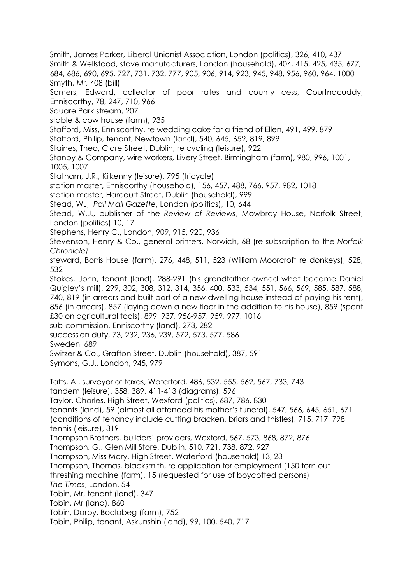684, 686, 690, 695, 727, 731, 732, 777, 905, 906, 914, 923, 945, 948, 956, 960, 964, 1000 Smyth, Mr, 408 (bill) Somers, Edward, collector of poor rates and county cess, Courtnacuddy, Enniscorthy, 78, 247, 710, 966 Square Park stream, 207 stable & cow house (farm), 935 Stafford, Miss, Enniscorthy, re wedding cake for a friend of Ellen, 491, 499, 879 Stafford, Philip, tenant, Newtown (land), 540, 645, 652, 819, 899 Staines, Theo, Clare Street, Dublin, re cycling (leisure), 922 Stanby & Company, wire workers, Livery Street, Birmingham (farm), 980, 996, 1001, 1005, 1007 Statham, J.R., Kilkenny (leisure), 795 (tricycle) station master, Enniscorthy (household), 156, 457, 488, 766, 957, 982, 1018 station master, Harcourt Street, Dublin (household), 999 Stead, WJ, *Pall Mall Gazette*, London (politics), 10, 644 Stead, W.J., publisher of the *Review of Reviews*, Mowbray House, Norfolk Street, London (politics) 10, 17 Stephens, Henry C., London, 909, 915, 920, 936 Stevenson, Henry & Co., general printers, Norwich, 68 (re subscription to the *Norfolk Chronicle)* steward, Borris House (farm), 276, 448, 511, 523 (William Moorcroft re donkeys), 528, 532 Stokes, John, tenant (land), 288-291 (his grandfather owned what became Daniel Quigley's mill), 299, 302, 308, 312, 314, 356, 400, 533, 534, 551, 566, 569, 585, 587, 588, 740, 819 (in arrears and built part of a new dwelling house instead of paying his rent(, 856 (in arrears), 857 (laying down a new floor in the addition to his house), 859 (spent £30 on agricultural tools), 899, 937, 956-957, 959, 977, 1016 sub-commission, Enniscorthy (land), 273, 282 succession duty, 73, 232, 236, 239, 572, 573, 577, 586 Sweden, 689 Switzer & Co., Grafton Street, Dublin (household), 387, 591 Symons, G.J., London, 945, 979 Taffs, A., surveyor of taxes, Waterford, 486, 532, 555, 562, 567, 733, 743 tandem (leisure), 358, 389, 411-413 (diagrams), 596 Taylor, Charles, High Street, Wexford (politics), 687, 786, 830 tenants (land), 59 (almost all attended his mother's funeral), 547, 566, 645, 651, 671 (conditions of tenancy include cutting bracken, briars and thistles), 715, 717, 798 tennis (leisure), 319 Thompson Brothers, builders' providers, Wexford, 567, 573, 868, 872, 876 Thompson, G., Glen Mill Store, Dublin, 510, 721, 738, 872, 927 Thompson, Miss Mary, High Street, Waterford (household) 13, 23 Thompson, Thomas, blacksmith, re application for employment (150 torn out threshing machine (farm), 15 (requested for use of boycotted persons) *The Times*, London, 54 Tobin, Mr, tenant (land), 347 Tobin, Mr (land), 860 Tobin, Darby, Boolabeg (farm), 752 Tobin, Philip, tenant, Askunshin (land), 99, 100, 540, 717

Smith, James Parker, Liberal Unionist Association, London (politics), 326, 410, 437 Smith & Wellstood, stove manufacturers, London (household), 404, 415, 425, 435, 677,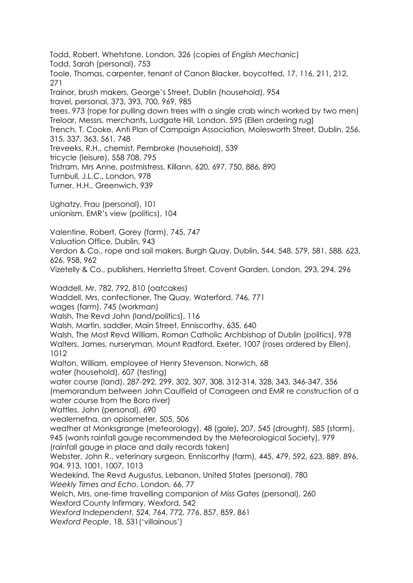Todd, Robert, Whetstone, London, 326 (copies of *English Mechanic*) Todd, Sarah (personal), 753 Toole, Thomas, carpenter, tenant of Canon Blacker, boycotted, 17, 116, 211, 212, 271 Trainor, brush makers, George's Street, Dublin (household), 954 travel, personal, 373, 393, 700, 969, 985 trees, 973 (rope for pulling down trees with a single crab winch worked by two men) Treloar, Messrs, merchants, Ludgate Hill, London, 595 (Ellen ordering rug) Trench, T. Cooke, Anti Plan of Campaign Association, Molesworth Street, Dublin, 256, 315, 337, 363, 561, 748 Treveeks, R.H., chemist, Pembroke (household), 539 tricycle (leisure), 558 708, 795 Tristram, Mrs Anne, postmistress, Killann, 620, 697, 750, 886, 890 Turnbull, J.L.C., London, 978 Turner, H.H., Greenwich, 939 Ughatzy, Frau (personal), 101 unionism, EMR's view (politics), 104 Valentine, Robert, Gorey (farm), 745, 747 Valuation Office, Dublin, 943 Verdon & Co., rope and sail makers, Burgh Quay, Dublin, 544, 548, 579, 581, 588, 623, 626, 958, 962 Vizetelly & Co., publishers, Henrietta Street, Covent Garden, London, 293, 294, 296 Waddell, Mr, 782, 792, 810 (oatcakes) Waddell, Mrs, confectioner, The Quay, Waterford, 746, 771 wages (farm), 745 (workman) Walsh, The Revd John (land/politics), 116 Walsh, Martin, saddler, Main Street, Enniscorthy, 635, 640 Walsh, The Most Revd William, Roman Catholic Archbishop of Dublin (politics), 978 Walters, James, nurseryman, Mount Radford, Exeter, 1007 (roses ordered by Ellen), 1012 Walton, William, employee of Henry Stevenson, Norwich, 68 water (household), 607 (testing) water course (land), 287-292, 299, 302, 307, 308, 312-314, 328, 343, 346-347, 356 (memorandum between John Caulfield of Corrageen and EMR re construction of a water course from the Boro river) Wattles, John (personal), 690 wealemefna, an opisometer, 505, 506 weather at Monksgrange (meteorology), 48 (gale), 207, 545 (drought), 585 (storm), 945 (wants rainfall gauge recommended by the Meteorological Society), 979 (rainfall gauge in place and daily records taken) Webster, John R., veterinary surgeon, Enniscorthy (farm), 445, 479, 592, 623, 889, 896, 904, 913, 1001, 1007, 1013 Wedekind, The Revd Augustus, Lebanon, United States (personal), 780 *Weekly Times and Echo*, London, 66, 77 Welch, Mrs, one-time travelling companion of Miss Gates (personal), 260 Wexford County Infirmary, Wexford, 542 *Wexford Independent*, 524, 764, 772, 776, 857, 859, 861 *Wexford People*, 18, 531('villainous')